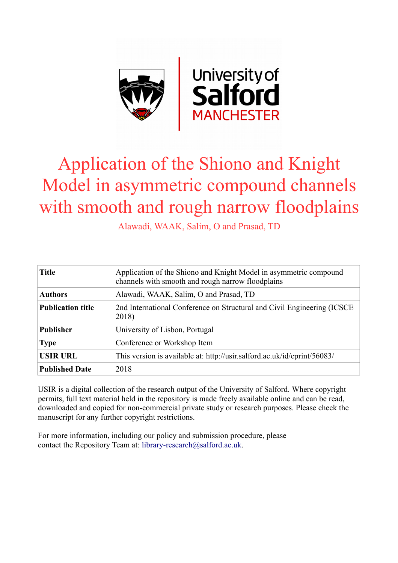

# Application of the Shiono and Knight Model in asymmetric compound channels with smooth and rough narrow floodplains

Alawadi, WAAK, Salim, O and Prasad, TD

| <b>Title</b>             | Application of the Shiono and Knight Model in asymmetric compound<br>channels with smooth and rough narrow floodplains |
|--------------------------|------------------------------------------------------------------------------------------------------------------------|
| <b>Authors</b>           | Alawadi, WAAK, Salim, O and Prasad, TD                                                                                 |
| <b>Publication title</b> | 2nd International Conference on Structural and Civil Engineering (ICSCE)<br>2018)                                      |
| <b>Publisher</b>         | University of Lisbon, Portugal                                                                                         |
| <b>Type</b>              | Conference or Workshop Item                                                                                            |
| <b>USIR URL</b>          | This version is available at: http://usir.salford.ac.uk/id/eprint/56083/                                               |
| <b>Published Date</b>    | 2018                                                                                                                   |

USIR is a digital collection of the research output of the University of Salford. Where copyright permits, full text material held in the repository is made freely available online and can be read, downloaded and copied for non-commercial private study or research purposes. Please check the manuscript for any further copyright restrictions.

For more information, including our policy and submission procedure, please contact the Repository Team at: [library-research@salford.ac.uk.](mailto:library-research@salford.ac.uk)